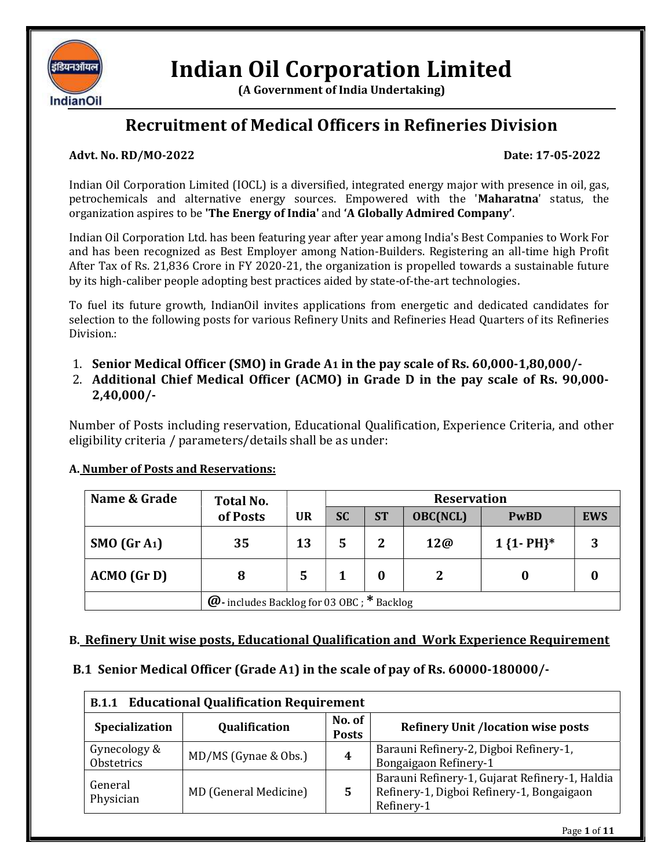

# Indian Oil Corporation Limited

(A Government of India Undertaking)

## Recruitment of Medical Officers in Refineries Division

#### Advt. No. RD/MO-2022 Date: 17-05-2022

Indian Oil Corporation Limited (IOCL) is a diversified, integrated energy major with presence in oil, gas, petrochemicals and alternative energy sources. Empowered with the 'Maharatna' status, the organization aspires to be 'The Energy of India' and 'A Globally Admired Company'.

Indian Oil Corporation Ltd. has been featuring year after year among India's Best Companies to Work For and has been recognized as Best Employer among Nation-Builders. Registering an all-time high Profit After Tax of Rs. 21,836 Crore in FY 2020-21, the organization is propelled towards a sustainable future by its high-caliber people adopting best practices aided by state-of-the-art technologies.

To fuel its future growth, IndianOil invites applications from energetic and dedicated candidates for selection to the following posts for various Refinery Units and Refineries Head Quarters of its Refineries Division.:

- 1. Senior Medical Officer (SMO) in Grade A1 in the pay scale of Rs. 60,000-1,80,000/-
- 2. Additional Chief Medical Officer (ACMO) in Grade D in the pay scale of Rs. 90,000- 2,40,000/-

Number of Posts including reservation, Educational Qualification, Experience Criteria, and other eligibility criteria / parameters/details shall be as under:

### A. Number of Posts and Reservations:

| Name & Grade           | Total No.                                         | <b>Reservation</b> |           |                |                 |               |            |
|------------------------|---------------------------------------------------|--------------------|-----------|----------------|-----------------|---------------|------------|
|                        | of Posts                                          | <b>UR</b>          | <b>SC</b> | <b>ST</b>      | <b>OBC(NCL)</b> | <b>PwBD</b>   | <b>EWS</b> |
| SMO(GrA <sub>1</sub> ) | 35                                                | 13                 |           | $\overline{2}$ | 12@             | $1\{1-PH\}^*$ |            |
| $ACMO$ (Gr D)          | 8                                                 | 5                  |           |                | 2               |               |            |
|                        | $\omega$ - includes Backlog for 03 OBC; * Backlog |                    |           |                |                 |               |            |

### B. Refinery Unit wise posts, Educational Qualification and Work Experience Requirement

### B.1 Senior Medical Officer (Grade A1) in the scale of pay of Rs. 60000-180000/-

| <b>Educational Qualification Requirement</b><br><b>B.1.1</b> |                       |                        |                                                                                                           |
|--------------------------------------------------------------|-----------------------|------------------------|-----------------------------------------------------------------------------------------------------------|
| Specialization                                               | Qualification         | No. of<br><b>Posts</b> | <b>Refinery Unit /location wise posts</b>                                                                 |
| Gynecology &<br>Obstetrics                                   | MD/MS (Gynae & Obs.)  | 4                      | Barauni Refinery-2, Digboi Refinery-1,<br>Bongaigaon Refinery-1                                           |
| General<br>Physician                                         | MD (General Medicine) | 5                      | Barauni Refinery-1, Gujarat Refinery-1, Haldia<br>Refinery-1, Digboi Refinery-1, Bongaigaon<br>Refinery-1 |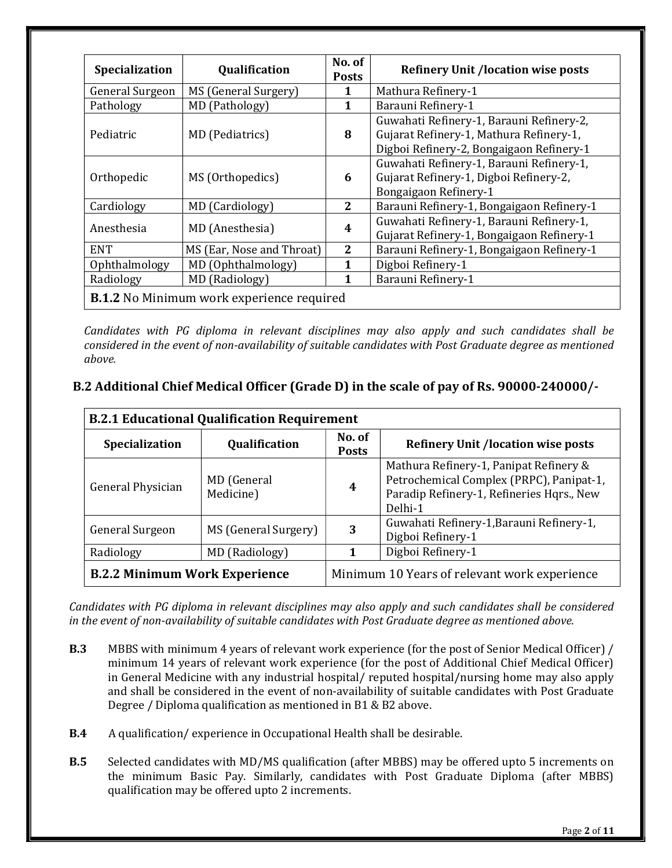| Specialization                                   | Qualification             | No. of<br><b>Posts</b> | <b>Refinery Unit /location wise posts</b>                                                                                       |
|--------------------------------------------------|---------------------------|------------------------|---------------------------------------------------------------------------------------------------------------------------------|
| General Surgeon                                  | MS (General Surgery)      | 1                      | Mathura Refinery-1                                                                                                              |
| Pathology                                        | MD (Pathology)            | 1                      | Barauni Refinery-1                                                                                                              |
| Pediatric                                        | MD (Pediatrics)           | 8                      | Guwahati Refinery-1, Barauni Refinery-2,<br>Gujarat Refinery-1, Mathura Refinery-1,<br>Digboi Refinery-2, Bongaigaon Refinery-1 |
| Orthopedic                                       | MS (Orthopedics)          | 6                      | Guwahati Refinery-1, Barauni Refinery-1,<br>Gujarat Refinery-1, Digboi Refinery-2,<br>Bongaigaon Refinery-1                     |
| Cardiology                                       | MD (Cardiology)           | $\mathbf{2}$           | Barauni Refinery-1, Bongaigaon Refinery-1                                                                                       |
| Anesthesia                                       | MD (Anesthesia)           | 4                      | Guwahati Refinery-1, Barauni Refinery-1,<br>Gujarat Refinery-1, Bongaigaon Refinery-1                                           |
| <b>ENT</b>                                       | MS (Ear, Nose and Throat) | $\mathbf{2}$           | Barauni Refinery-1, Bongaigaon Refinery-1                                                                                       |
| Ophthalmology                                    | MD (Ophthalmology)        | 1                      | Digboi Refinery-1                                                                                                               |
| Radiology                                        | MD (Radiology)            | 1                      | Barauni Refinery-1                                                                                                              |
| <b>B.1.2</b> No Minimum work experience required |                           |                        |                                                                                                                                 |

Candidates with PG diploma in relevant disciplines may also apply and such candidates shall be considered in the event of non-availability of suitable candidates with Post Graduate degree as mentioned above.

### B.2 Additional Chief Medical Officer (Grade D) in the scale of pay of Rs. 90000-240000/-

| <b>B.2.1 Educational Qualification Requirement</b> |                          |                        |                                                                                                                                            |  |
|----------------------------------------------------|--------------------------|------------------------|--------------------------------------------------------------------------------------------------------------------------------------------|--|
| Qualification<br>Specialization                    |                          | No. of<br><b>Posts</b> | <b>Refinery Unit /location wise posts</b>                                                                                                  |  |
| General Physician                                  | MD (General<br>Medicine) | $\boldsymbol{4}$       | Mathura Refinery-1, Panipat Refinery &<br>Petrochemical Complex (PRPC), Panipat-1,<br>Paradip Refinery-1, Refineries Hqrs., New<br>Delhi-1 |  |
| <b>General Surgeon</b>                             | MS (General Surgery)     | 3                      | Guwahati Refinery-1, Barauni Refinery-1,<br>Digboi Refinery-1                                                                              |  |
| Radiology                                          | MD (Radiology)           |                        | Digboi Refinery-1                                                                                                                          |  |
| <b>B.2.2 Minimum Work Experience</b>               |                          |                        | Minimum 10 Years of relevant work experience                                                                                               |  |

Candidates with PG diploma in relevant disciplines may also apply and such candidates shall be considered in the event of non-availability of suitable candidates with Post Graduate degree as mentioned above.

- B.3 MBBS with minimum 4 years of relevant work experience (for the post of Senior Medical Officer) / minimum 14 years of relevant work experience (for the post of Additional Chief Medical Officer) in General Medicine with any industrial hospital/ reputed hospital/nursing home may also apply and shall be considered in the event of non-availability of suitable candidates with Post Graduate Degree / Diploma qualification as mentioned in B1 & B2 above.
- B.4 A qualification/ experience in Occupational Health shall be desirable.
- B.5 Selected candidates with MD/MS qualification (after MBBS) may be offered upto 5 increments on the minimum Basic Pay. Similarly, candidates with Post Graduate Diploma (after MBBS) qualification may be offered upto 2 increments.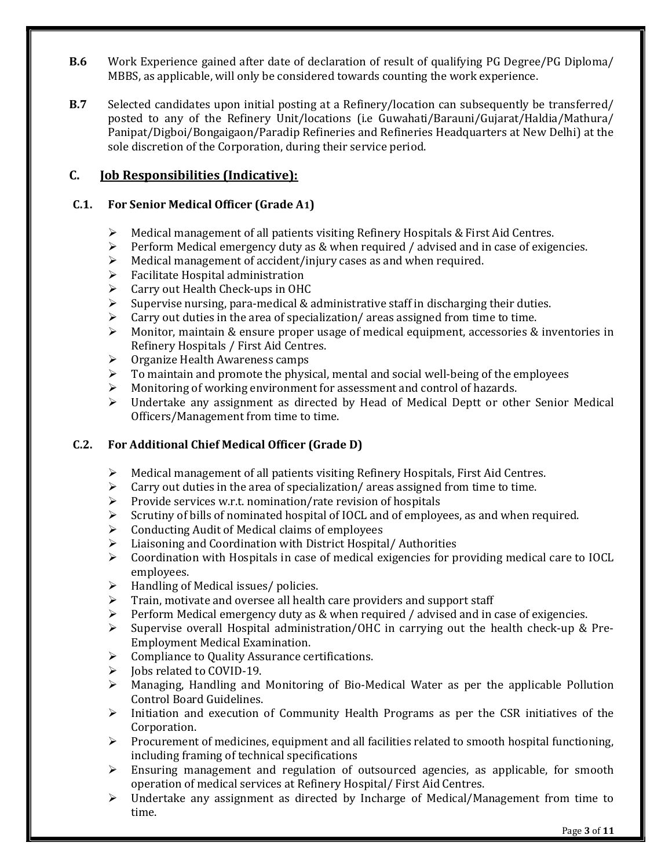- B.6 Work Experience gained after date of declaration of result of qualifying PG Degree/PG Diploma/ MBBS, as applicable, will only be considered towards counting the work experience.
- B.7 Selected candidates upon initial posting at a Refinery/location can subsequently be transferred/ posted to any of the Refinery Unit/locations (i.e Guwahati/Barauni/Gujarat/Haldia/Mathura/ Panipat/Digboi/Bongaigaon/Paradip Refineries and Refineries Headquarters at New Delhi) at the sole discretion of the Corporation, during their service period.

### C. Job Responsibilities (Indicative):

#### C.1. For Senior Medical Officer (Grade A1)

- $\triangleright$  Medical management of all patients visiting Refinery Hospitals & First Aid Centres.
- $\triangleright$  Perform Medical emergency duty as & when required / advised and in case of exigencies.
- Medical management of accident/injury cases as and when required.
- $\triangleright$  Facilitate Hospital administration
- Carry out Health Check-ups in OHC
- $\triangleright$  Supervise nursing, para-medical & administrative staff in discharging their duties.
- Carry out duties in the area of specialization/ areas assigned from time to time.
- Monitor, maintain & ensure proper usage of medical equipment, accessories & inventories in Refinery Hospitals / First Aid Centres.
- $\triangleright$  Organize Health Awareness camps
- $\triangleright$  To maintain and promote the physical, mental and social well-being of the employees
- Monitoring of working environment for assessment and control of hazards.
- $\triangleright$  Undertake any assignment as directed by Head of Medical Deptt or other Senior Medical Officers/Management from time to time.

#### C.2. For Additional Chief Medical Officer (Grade D)

- $\triangleright$  Medical management of all patients visiting Refinery Hospitals, First Aid Centres.
- $\triangleright$  Carry out duties in the area of specialization/areas assigned from time to time.
- $\triangleright$  Provide services w.r.t. nomination/rate revision of hospitals
- $\triangleright$  Scrutiny of bills of nominated hospital of IOCL and of employees, as and when required.
- $\triangleright$  Conducting Audit of Medical claims of employees
- Liaisoning and Coordination with District Hospital/ Authorities
- $\triangleright$  Coordination with Hospitals in case of medical exigencies for providing medical care to IOCL employees.
- $\triangleright$  Handling of Medical issues/ policies.
- $\triangleright$  Train, motivate and oversee all health care providers and support staff
- Perform Medical emergency duty as & when required / advised and in case of exigencies.
- $\triangleright$  Supervise overall Hospital administration/OHC in carrying out the health check-up & Pre-Employment Medical Examination.
- ▶ Compliance to Quality Assurance certifications.
- Jobs related to COVID-19.
- $\triangleright$  Managing, Handling and Monitoring of Bio-Medical Water as per the applicable Pollution Control Board Guidelines.
- $\triangleright$  Initiation and execution of Community Health Programs as per the CSR initiatives of the Corporation.
- $\triangleright$  Procurement of medicines, equipment and all facilities related to smooth hospital functioning, including framing of technical specifications
- Ensuring management and regulation of outsourced agencies, as applicable, for smooth operation of medical services at Refinery Hospital/ First Aid Centres.
- $\triangleright$  Undertake any assignment as directed by Incharge of Medical/Management from time to time.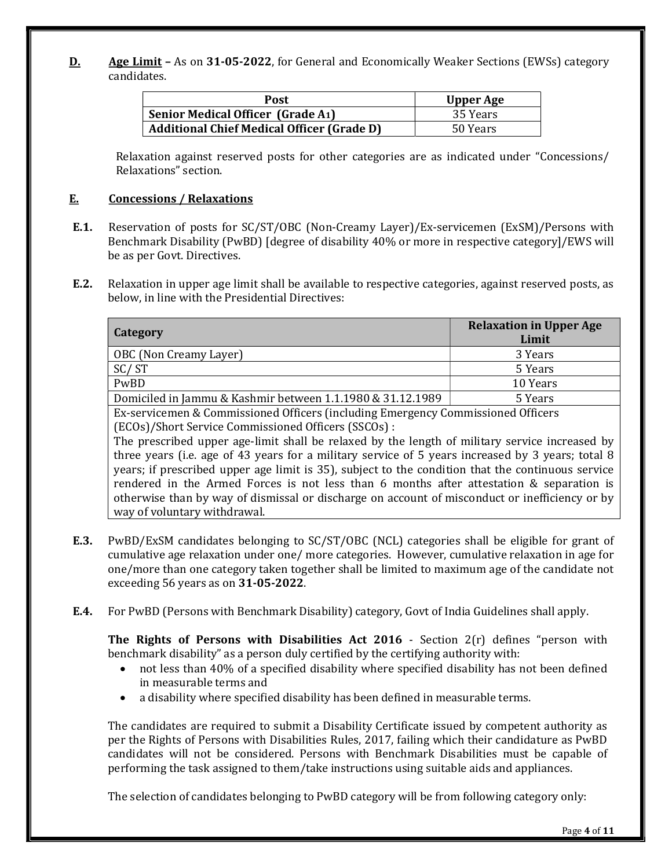D. Age Limit – As on 31-05-2022, for General and Economically Weaker Sections (EWSs) category candidates.

| Post                                              | <b>Upper Age</b> |
|---------------------------------------------------|------------------|
| <b>Senior Medical Officer (Grade A1)</b>          | 35 Years         |
| <b>Additional Chief Medical Officer (Grade D)</b> | 50 Years         |

Relaxation against reserved posts for other categories are as indicated under "Concessions/ Relaxations" section.

#### E. Concessions / Relaxations

- E.1. Reservation of posts for SC/ST/OBC (Non-Creamy Layer)/Ex-servicemen (ExSM)/Persons with Benchmark Disability (PwBD) [degree of disability 40% or more in respective category]/EWS will be as per Govt. Directives.
- E.2. Relaxation in upper age limit shall be available to respective categories, against reserved posts, as below, in line with the Presidential Directives:

| <b>Category</b>                                            | <b>Relaxation in Upper Age</b><br>Limit |
|------------------------------------------------------------|-----------------------------------------|
| OBC (Non Creamy Layer)                                     | 3 Years                                 |
| SC/ST                                                      | 5 Years                                 |
| PwBD                                                       | 10 Years                                |
| Domiciled in Jammu & Kashmir between 1.1.1980 & 31.12.1989 | 5 Years                                 |
| $\mathbf{r}$<br>$\sim$ $\sim$ $\sim$ $\sim$<br>$\sim$      | $\sim$ $cc$                             |

Ex-servicemen & Commissioned Officers (including Emergency Commissioned Officers (ECOs)/Short Service Commissioned Officers (SSCOs) :

The prescribed upper age-limit shall be relaxed by the length of military service increased by three years (i.e. age of 43 years for a military service of 5 years increased by 3 years; total 8 years; if prescribed upper age limit is 35), subject to the condition that the continuous service rendered in the Armed Forces is not less than 6 months after attestation & separation is otherwise than by way of dismissal or discharge on account of misconduct or inefficiency or by way of voluntary withdrawal.

- E.3. PwBD/ExSM candidates belonging to SC/ST/OBC (NCL) categories shall be eligible for grant of cumulative age relaxation under one/ more categories. However, cumulative relaxation in age for one/more than one category taken together shall be limited to maximum age of the candidate not exceeding 56 years as on 31-05-2022.
- E.4. For PwBD (Persons with Benchmark Disability) category, Govt of India Guidelines shall apply.

The Rights of Persons with Disabilities Act 2016 - Section 2(r) defines "person with benchmark disability" as a person duly certified by the certifying authority with:

- not less than 40% of a specified disability where specified disability has not been defined in measurable terms and
- a disability where specified disability has been defined in measurable terms.

The candidates are required to submit a Disability Certificate issued by competent authority as per the Rights of Persons with Disabilities Rules, 2017, failing which their candidature as PwBD candidates will not be considered. Persons with Benchmark Disabilities must be capable of performing the task assigned to them/take instructions using suitable aids and appliances.

The selection of candidates belonging to PwBD category will be from following category only: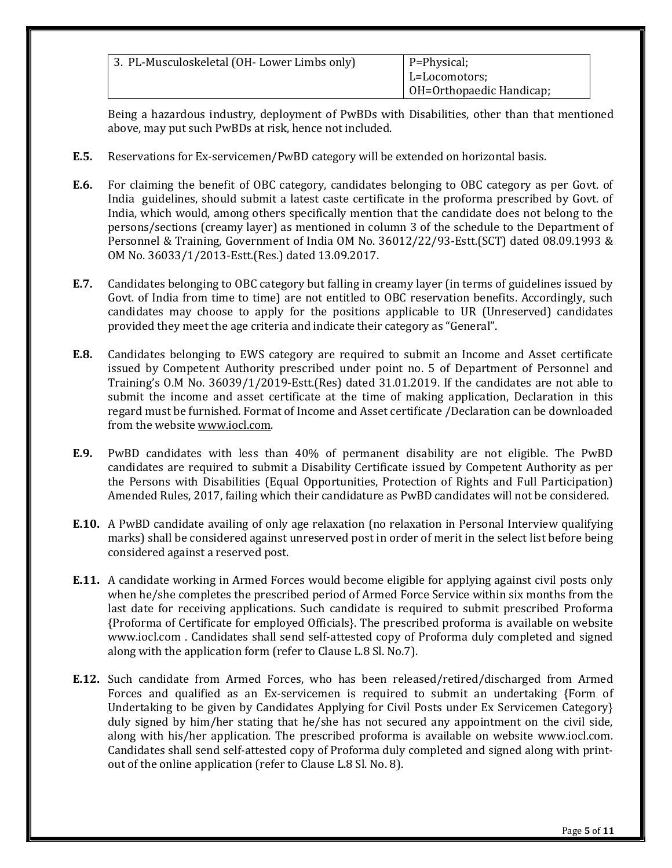| 3. PL-Musculoskeletal (OH-Lower Limbs only) | P=Physical;<br>L=Locomotors;<br>OH=Orthopaedic Handicap; |
|---------------------------------------------|----------------------------------------------------------|
|                                             |                                                          |

Being a hazardous industry, deployment of PwBDs with Disabilities, other than that mentioned above, may put such PwBDs at risk, hence not included.

- E.5. Reservations for Ex-servicemen/PwBD category will be extended on horizontal basis.
- E.6. For claiming the benefit of OBC category, candidates belonging to OBC category as per Govt. of India guidelines, should submit a latest caste certificate in the proforma prescribed by Govt. of India, which would, among others specifically mention that the candidate does not belong to the persons/sections (creamy layer) as mentioned in column 3 of the schedule to the Department of Personnel & Training, Government of India OM No. 36012/22/93-Estt.(SCT) dated 08.09.1993 & OM No. 36033/1/2013-Estt.(Res.) dated 13.09.2017.
- E.7. Candidates belonging to OBC category but falling in creamy layer (in terms of guidelines issued by Govt. of India from time to time) are not entitled to OBC reservation benefits. Accordingly, such candidates may choose to apply for the positions applicable to UR (Unreserved) candidates provided they meet the age criteria and indicate their category as "General".
- E.8. Candidates belonging to EWS category are required to submit an Income and Asset certificate issued by Competent Authority prescribed under point no. 5 of Department of Personnel and Training's O.M No. 36039/1/2019-Estt.(Res) dated 31.01.2019. If the candidates are not able to submit the income and asset certificate at the time of making application, Declaration in this regard must be furnished. Format of Income and Asset certificate /Declaration can be downloaded from the website www.iocl.com.
- E.9. PwBD candidates with less than 40% of permanent disability are not eligible. The PwBD candidates are required to submit a Disability Certificate issued by Competent Authority as per the Persons with Disabilities (Equal Opportunities, Protection of Rights and Full Participation) Amended Rules, 2017, failing which their candidature as PwBD candidates will not be considered.
- E.10. A PwBD candidate availing of only age relaxation (no relaxation in Personal Interview qualifying marks) shall be considered against unreserved post in order of merit in the select list before being considered against a reserved post.
- E.11. A candidate working in Armed Forces would become eligible for applying against civil posts only when he/she completes the prescribed period of Armed Force Service within six months from the last date for receiving applications. Such candidate is required to submit prescribed Proforma {Proforma of Certificate for employed Officials}. The prescribed proforma is available on website www.iocl.com . Candidates shall send self-attested copy of Proforma duly completed and signed along with the application form (refer to Clause L.8 Sl. No.7).
- E.12. Such candidate from Armed Forces, who has been released/retired/discharged from Armed Forces and qualified as an Ex-servicemen is required to submit an undertaking {Form of Undertaking to be given by Candidates Applying for Civil Posts under Ex Servicemen Category} duly signed by him/her stating that he/she has not secured any appointment on the civil side, along with his/her application. The prescribed proforma is available on website www.iocl.com. Candidates shall send self-attested copy of Proforma duly completed and signed along with printout of the online application (refer to Clause L.8 Sl. No. 8).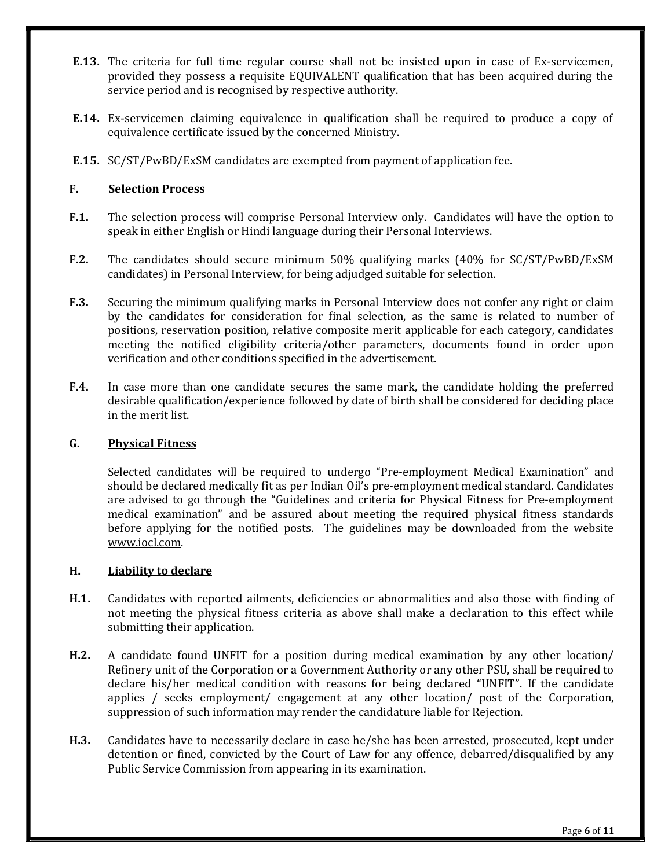- E.13. The criteria for full time regular course shall not be insisted upon in case of Ex-servicemen, provided they possess a requisite EQUIVALENT qualification that has been acquired during the service period and is recognised by respective authority.
- E.14. Ex-servicemen claiming equivalence in qualification shall be required to produce a copy of equivalence certificate issued by the concerned Ministry.
- E.15. SC/ST/PwBD/ExSM candidates are exempted from payment of application fee.

#### F. Selection Process

- F.1. The selection process will comprise Personal Interview only. Candidates will have the option to speak in either English or Hindi language during their Personal Interviews.
- F.2. The candidates should secure minimum 50% qualifying marks (40% for SC/ST/PwBD/ExSM candidates) in Personal Interview, for being adjudged suitable for selection.
- F.3. Securing the minimum qualifying marks in Personal Interview does not confer any right or claim by the candidates for consideration for final selection, as the same is related to number of positions, reservation position, relative composite merit applicable for each category, candidates meeting the notified eligibility criteria/other parameters, documents found in order upon verification and other conditions specified in the advertisement.
- F.4. In case more than one candidate secures the same mark, the candidate holding the preferred desirable qualification/experience followed by date of birth shall be considered for deciding place in the merit list.

#### G. Physical Fitness

Selected candidates will be required to undergo "Pre-employment Medical Examination" and should be declared medically fit as per Indian Oil's pre-employment medical standard. Candidates are advised to go through the "Guidelines and criteria for Physical Fitness for Pre-employment medical examination" and be assured about meeting the required physical fitness standards before applying for the notified posts. The guidelines may be downloaded from the website www.iocl.com.

#### H. Liability to declare

- H.1. Candidates with reported ailments, deficiencies or abnormalities and also those with finding of not meeting the physical fitness criteria as above shall make a declaration to this effect while submitting their application.
- H.2. A candidate found UNFIT for a position during medical examination by any other location/ Refinery unit of the Corporation or a Government Authority or any other PSU, shall be required to declare his/her medical condition with reasons for being declared "UNFIT". If the candidate applies / seeks employment/ engagement at any other location/ post of the Corporation, suppression of such information may render the candidature liable for Rejection.
- H.3. Candidates have to necessarily declare in case he/she has been arrested, prosecuted, kept under detention or fined, convicted by the Court of Law for any offence, debarred/disqualified by any Public Service Commission from appearing in its examination.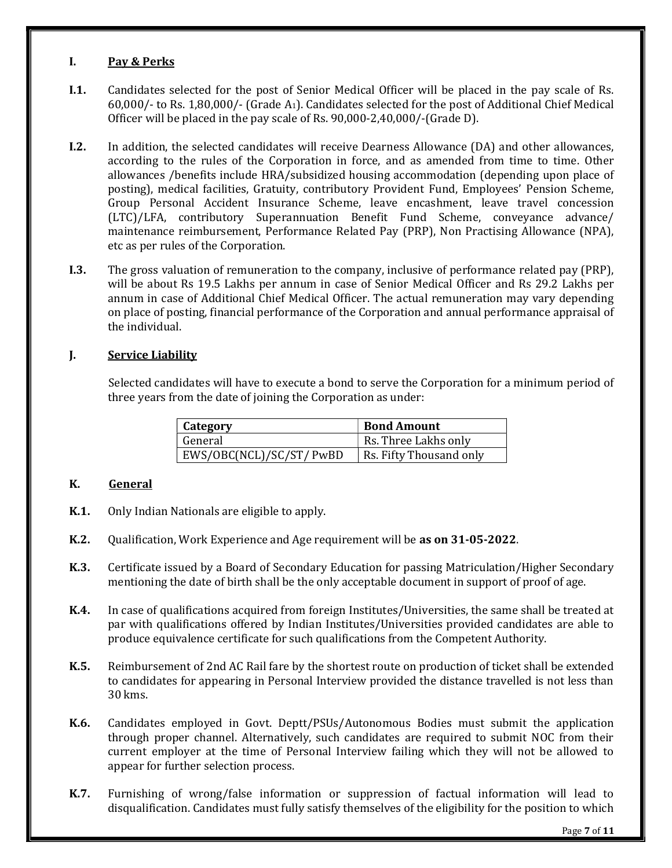#### I. Pay & Perks

- I.1. Candidates selected for the post of Senior Medical Officer will be placed in the pay scale of Rs. 60,000/- to Rs. 1,80,000/- (Grade A1). Candidates selected for the post of Additional Chief Medical Officer will be placed in the pay scale of Rs. 90,000-2,40,000/-(Grade D).
- I.2. In addition, the selected candidates will receive Dearness Allowance (DA) and other allowances, according to the rules of the Corporation in force, and as amended from time to time. Other allowances /benefits include HRA/subsidized housing accommodation (depending upon place of posting), medical facilities, Gratuity, contributory Provident Fund, Employees' Pension Scheme, Group Personal Accident Insurance Scheme, leave encashment, leave travel concession (LTC)/LFA, contributory Superannuation Benefit Fund Scheme, conveyance advance/ maintenance reimbursement, Performance Related Pay (PRP), Non Practising Allowance (NPA), etc as per rules of the Corporation.
- I.3. The gross valuation of remuneration to the company, inclusive of performance related pay (PRP), will be about Rs 19.5 Lakhs per annum in case of Senior Medical Officer and Rs 29.2 Lakhs per annum in case of Additional Chief Medical Officer. The actual remuneration may vary depending on place of posting, financial performance of the Corporation and annual performance appraisal of the individual.

#### J. Service Liability

Selected candidates will have to execute a bond to serve the Corporation for a minimum period of three years from the date of joining the Corporation as under:

| Category                 | <b>Bond Amount</b>      |
|--------------------------|-------------------------|
| General                  | Rs. Three Lakhs only    |
| EWS/OBC(NCL)/SC/ST/ PwBD | Rs. Fifty Thousand only |

#### K. General

- K.1. Only Indian Nationals are eligible to apply.
- K.2. Qualification, Work Experience and Age requirement will be as on 31-05-2022.
- K.3. Certificate issued by a Board of Secondary Education for passing Matriculation/Higher Secondary mentioning the date of birth shall be the only acceptable document in support of proof of age.
- K.4. In case of qualifications acquired from foreign Institutes/Universities, the same shall be treated at par with qualifications offered by Indian Institutes/Universities provided candidates are able to produce equivalence certificate for such qualifications from the Competent Authority.
- K.5. Reimbursement of 2nd AC Rail fare by the shortest route on production of ticket shall be extended to candidates for appearing in Personal Interview provided the distance travelled is not less than 30 kms.
- K.6. Candidates employed in Govt. Deptt/PSUs/Autonomous Bodies must submit the application through proper channel. Alternatively, such candidates are required to submit NOC from their current employer at the time of Personal Interview failing which they will not be allowed to appear for further selection process.
- K.7. Furnishing of wrong/false information or suppression of factual information will lead to disqualification. Candidates must fully satisfy themselves of the eligibility for the position to which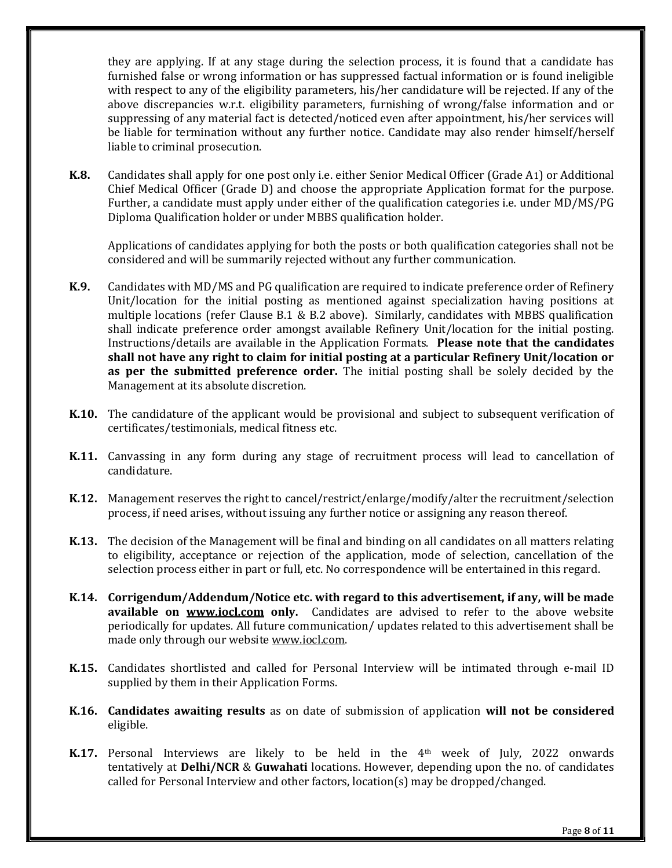they are applying. If at any stage during the selection process, it is found that a candidate has furnished false or wrong information or has suppressed factual information or is found ineligible with respect to any of the eligibility parameters, his/her candidature will be rejected. If any of the above discrepancies w.r.t. eligibility parameters, furnishing of wrong/false information and or suppressing of any material fact is detected/noticed even after appointment, his/her services will be liable for termination without any further notice. Candidate may also render himself/herself liable to criminal prosecution.

K.8. Candidates shall apply for one post only i.e. either Senior Medical Officer (Grade A1) or Additional Chief Medical Officer (Grade D) and choose the appropriate Application format for the purpose. Further, a candidate must apply under either of the qualification categories i.e. under MD/MS/PG Diploma Qualification holder or under MBBS qualification holder.

Applications of candidates applying for both the posts or both qualification categories shall not be considered and will be summarily rejected without any further communication.

- K.9. Candidates with MD/MS and PG qualification are required to indicate preference order of Refinery Unit/location for the initial posting as mentioned against specialization having positions at multiple locations (refer Clause B.1 & B.2 above). Similarly, candidates with MBBS qualification shall indicate preference order amongst available Refinery Unit/location for the initial posting. Instructions/details are available in the Application Formats. Please note that the candidates shall not have any right to claim for initial posting at a particular Refinery Unit/location or as per the submitted preference order. The initial posting shall be solely decided by the Management at its absolute discretion.
- **K.10.** The candidature of the applicant would be provisional and subject to subsequent verification of certificates/testimonials, medical fitness etc.
- K.11. Canvassing in any form during any stage of recruitment process will lead to cancellation of candidature.
- K.12. Management reserves the right to cancel/restrict/enlarge/modify/alter the recruitment/selection process, if need arises, without issuing any further notice or assigning any reason thereof.
- **K.13.** The decision of the Management will be final and binding on all candidates on all matters relating to eligibility, acceptance or rejection of the application, mode of selection, cancellation of the selection process either in part or full, etc. No correspondence will be entertained in this regard.
- K.14. Corrigendum/Addendum/Notice etc. with regard to this advertisement, if any, will be made available on www.jocl.com only. Candidates are advised to refer to the above website periodically for updates. All future communication/ updates related to this advertisement shall be made only through our website www.iocl.com.
- K.15. Candidates shortlisted and called for Personal Interview will be intimated through e-mail ID supplied by them in their Application Forms.
- K.16. Candidates awaiting results as on date of submission of application will not be considered eligible.
- K.17. Personal Interviews are likely to be held in the 4<sup>th</sup> week of July, 2022 onwards tentatively at Delhi/NCR & Guwahati locations. However, depending upon the no. of candidates called for Personal Interview and other factors, location(s) may be dropped/changed.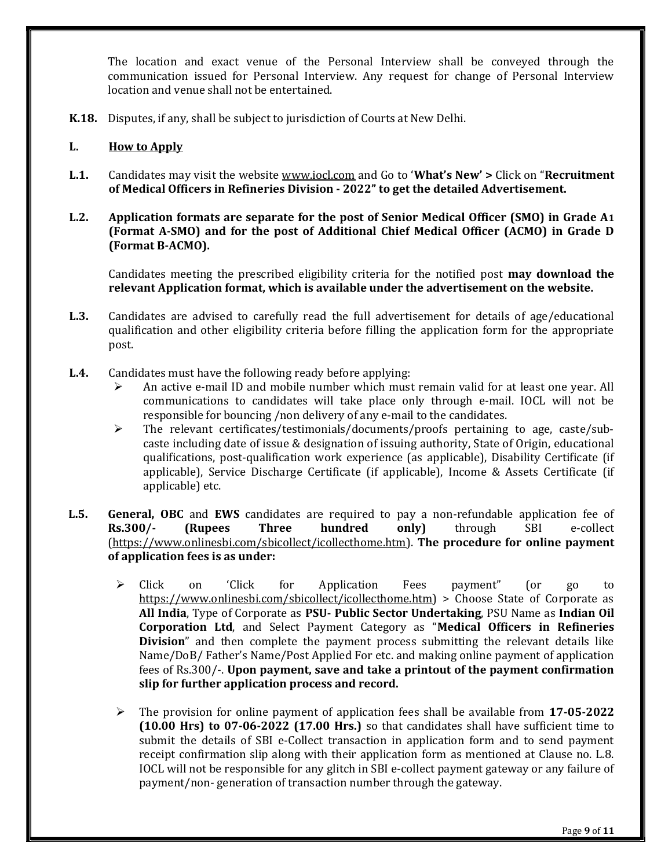The location and exact venue of the Personal Interview shall be conveyed through the communication issued for Personal Interview. Any request for change of Personal Interview location and venue shall not be entertained.

K.18. Disputes, if any, shall be subject to jurisdiction of Courts at New Delhi.

#### L. How to Apply

L.1. Candidates may visit the website www.iocl.com and Go to 'What's New' > Click on "Recruitment of Medical Officers in Refineries Division - 2022" to get the detailed Advertisement.

#### L.2. Application formats are separate for the post of Senior Medical Officer (SMO) in Grade A1 (Format A-SMO) and for the post of Additional Chief Medical Officer (ACMO) in Grade D (Format B-ACMO).

Candidates meeting the prescribed eligibility criteria for the notified post may download the relevant Application format, which is available under the advertisement on the website.

- L.3. Candidates are advised to carefully read the full advertisement for details of age/educational qualification and other eligibility criteria before filling the application form for the appropriate post.
- L.4. Candidates must have the following ready before applying:
	- $\triangleright$  An active e-mail ID and mobile number which must remain valid for at least one year. All communications to candidates will take place only through e-mail. IOCL will not be responsible for bouncing /non delivery of any e-mail to the candidates.
	- $\triangleright$  The relevant certificates/testimonials/documents/proofs pertaining to age, caste/subcaste including date of issue & designation of issuing authority, State of Origin, educational qualifications, post-qualification work experience (as applicable), Disability Certificate (if applicable), Service Discharge Certificate (if applicable), Income & Assets Certificate (if applicable) etc.
- **L.5.** General, OBC and EWS candidates are required to pay a non-refundable application fee of Rs.300/- (Rupees Three hundred only) through SBI e-collect (https://www.onlinesbi.com/sbicollect/icollecthome.htm). The procedure for online payment of application fees is as under:
	- Click on 'Click for Application Fees payment" (or go to https://www.onlinesbi.com/sbicollect/icollecthome.htm) > Choose State of Corporate as All India, Type of Corporate as PSU- Public Sector Undertaking, PSU Name as Indian Oil Corporation Ltd, and Select Payment Category as "Medical Officers in Refineries Division" and then complete the payment process submitting the relevant details like Name/DoB/ Father's Name/Post Applied For etc. and making online payment of application fees of Rs.300/-. Upon payment, save and take a printout of the payment confirmation slip for further application process and record.
	- $\triangleright$  The provision for online payment of application fees shall be available from 17-05-2022 (10.00 Hrs) to 07-06-2022 (17.00 Hrs.) so that candidates shall have sufficient time to submit the details of SBI e-Collect transaction in application form and to send payment receipt confirmation slip along with their application form as mentioned at Clause no. L.8. IOCL will not be responsible for any glitch in SBI e-collect payment gateway or any failure of payment/non- generation of transaction number through the gateway.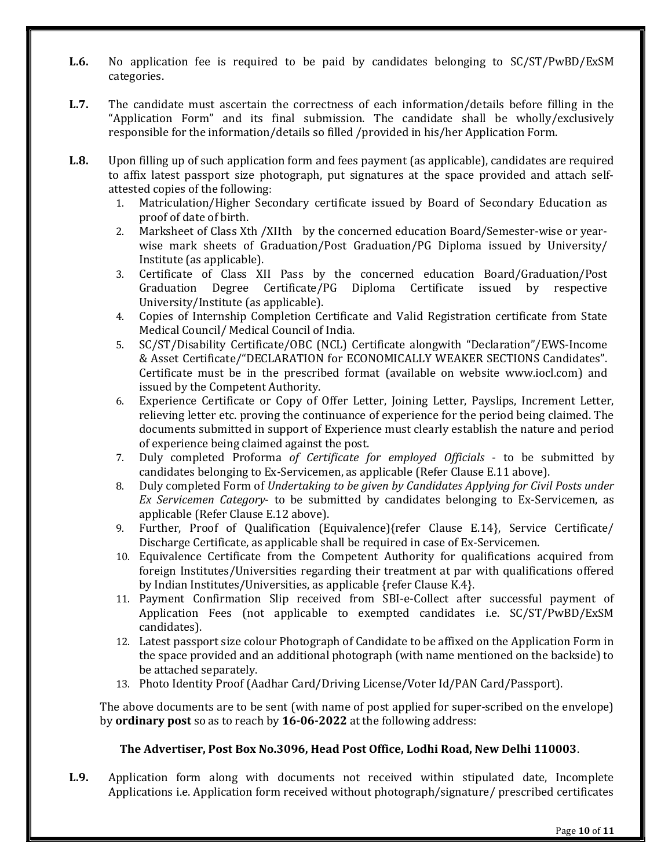- L.6. No application fee is required to be paid by candidates belonging to SC/ST/PwBD/ExSM categories.
- L.7. The candidate must ascertain the correctness of each information/details before filling in the "Application Form" and its final submission. The candidate shall be wholly/exclusively responsible for the information/details so filled /provided in his/her Application Form.
- L.8. Upon filling up of such application form and fees payment (as applicable), candidates are required to affix latest passport size photograph, put signatures at the space provided and attach selfattested copies of the following:
	- 1. Matriculation/Higher Secondary certificate issued by Board of Secondary Education as proof of date of birth.
	- 2. Marksheet of Class Xth /XIIth by the concerned education Board/Semester-wise or yearwise mark sheets of Graduation/Post Graduation/PG Diploma issued by University/ Institute (as applicable).
	- 3. Certificate of Class XII Pass by the concerned education Board/Graduation/Post Graduation Degree Certificate/PG Diploma Certificate issued by respective University/Institute (as applicable).
	- 4. Copies of Internship Completion Certificate and Valid Registration certificate from State Medical Council/ Medical Council of India.
	- 5. SC/ST/Disability Certificate/OBC (NCL) Certificate alongwith "Declaration"/EWS-Income & Asset Certificate/"DECLARATION for ECONOMICALLY WEAKER SECTIONS Candidates". Certificate must be in the prescribed format (available on website www.iocl.com) and issued by the Competent Authority.
	- 6. Experience Certificate or Copy of Offer Letter, Joining Letter, Payslips, Increment Letter, relieving letter etc. proving the continuance of experience for the period being claimed. The documents submitted in support of Experience must clearly establish the nature and period of experience being claimed against the post.
	- 7. Duly completed Proforma of Certificate for employed Officials to be submitted by candidates belonging to Ex-Servicemen, as applicable (Refer Clause E.11 above).
	- 8. Duly completed Form of Undertaking to be given by Candidates Applying for Civil Posts under Ex Servicemen Category- to be submitted by candidates belonging to Ex-Servicemen, as applicable (Refer Clause E.12 above).
	- 9. Further, Proof of Qualification (Equivalence){refer Clause E.14}, Service Certificate/ Discharge Certificate, as applicable shall be required in case of Ex-Servicemen.
	- 10. Equivalence Certificate from the Competent Authority for qualifications acquired from foreign Institutes/Universities regarding their treatment at par with qualifications offered by Indian Institutes/Universities, as applicable {refer Clause K.4}.
	- 11. Payment Confirmation Slip received from SBI-e-Collect after successful payment of Application Fees (not applicable to exempted candidates i.e. SC/ST/PwBD/ExSM candidates).
	- 12. Latest passport size colour Photograph of Candidate to be affixed on the Application Form in the space provided and an additional photograph (with name mentioned on the backside) to be attached separately.
	- 13. Photo Identity Proof (Aadhar Card/Driving License/Voter Id/PAN Card/Passport).

The above documents are to be sent (with name of post applied for super-scribed on the envelope) by **ordinary post** so as to reach by 16-06-2022 at the following address:

#### The Advertiser, Post Box No.3096, Head Post Office, Lodhi Road, New Delhi 110003.

L.9. Application form along with documents not received within stipulated date, Incomplete Applications i.e. Application form received without photograph/signature/ prescribed certificates